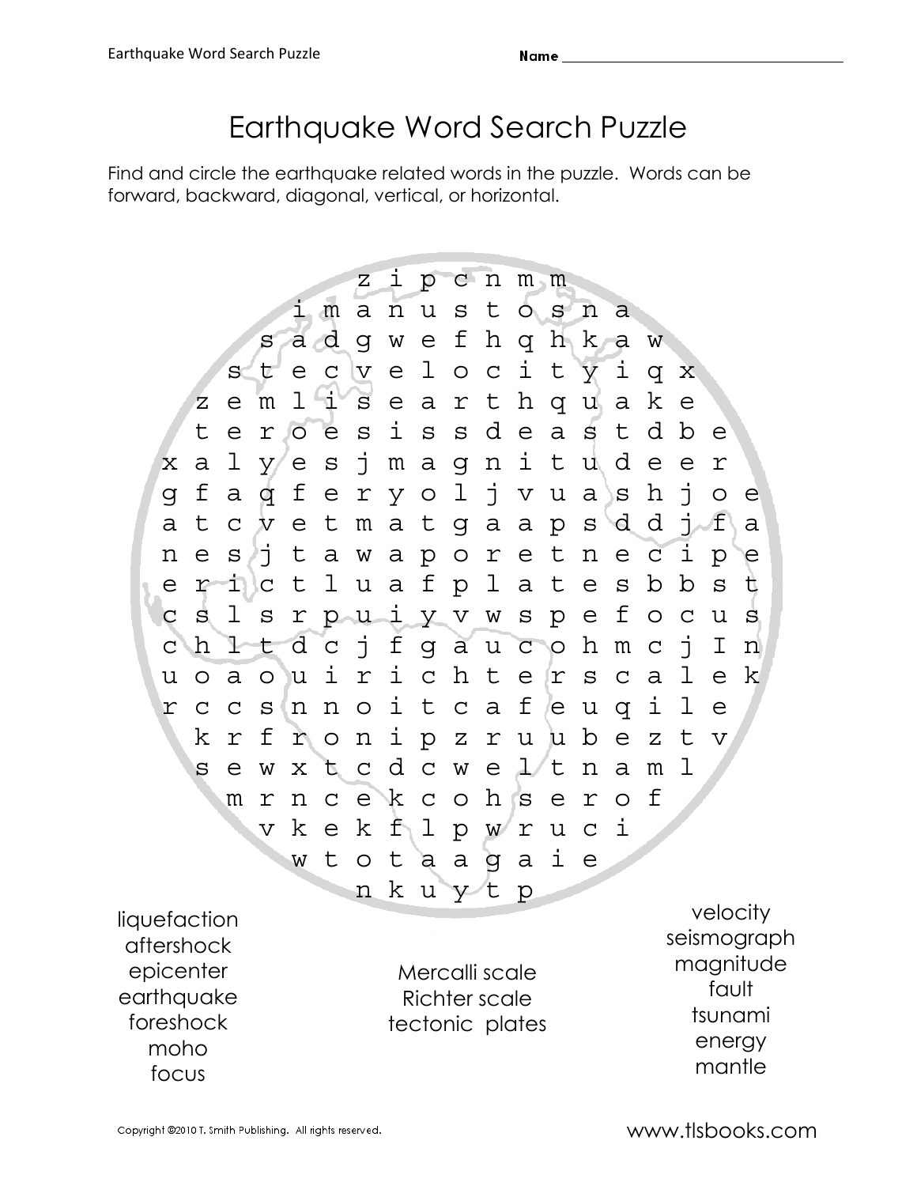## Earthquake Word Search Puzzle

Find and circle the earthquake related words in the puzzle. Words can be forward, backward, diagonal, vertical, or horizontal.